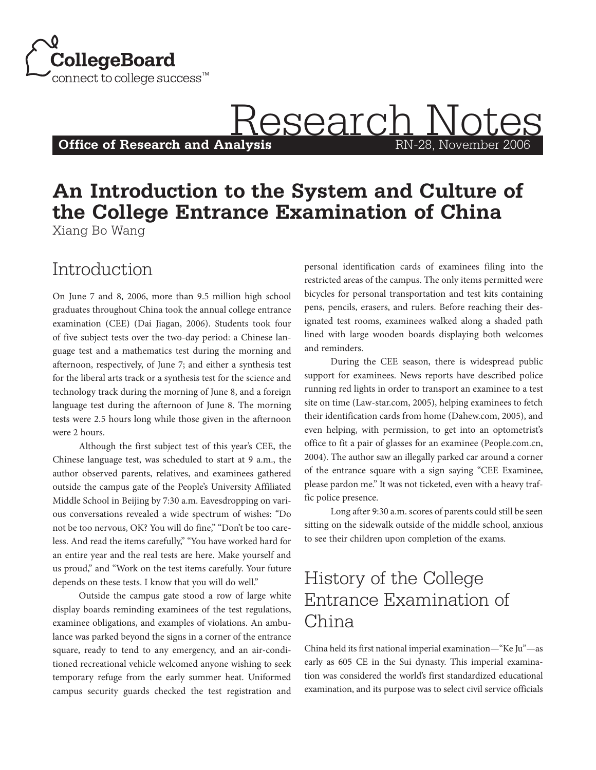

**Office of Research and Analysis** 

# **Research Notes**

#### **An Introduction to the System and Culture of the College Entrance Examination of China** Xiang Bo Wang

#### Introduction

On June 7 and 8, 2006, more than 9.5 million high school graduates throughout China took the annual college entrance examination (CEE) (Dai Jiagan, 2006). Students took four of five subject tests over the two-day period: a Chinese language test and a mathematics test during the morning and afternoon, respectively, of June 7; and either a synthesis test for the liberal arts track or a synthesis test for the science and technology track during the morning of June 8, and a foreign language test during the afternoon of June 8. The morning tests were 2.5 hours long while those given in the afternoon were 2 hours.

Although the first subject test of this year's CEE, the Chinese language test, was scheduled to start at 9 a.m., the author observed parents, relatives, and examinees gathered outside the campus gate of the People's University Affiliated Middle School in Beijing by 7:30 a.m. Eavesdropping on various conversations revealed a wide spectrum of wishes: "Do not be too nervous, OK? You will do fine," "Don't be too careless. And read the items carefully," "You have worked hard for an entire year and the real tests are here. Make yourself and us proud," and "Work on the test items carefully. Your future depends on these tests. I know that you will do well."

Outside the campus gate stood a row of large white display boards reminding examinees of the test regulations, examinee obligations, and examples of violations. An ambulance was parked beyond the signs in a corner of the entrance square, ready to tend to any emergency, and an air-conditioned recreational vehicle welcomed anyone wishing to seek temporary refuge from the early summer heat. Uniformed campus security guards checked the test registration and personal identification cards of examinees filing into the restricted areas of the campus. The only items permitted were bicycles for personal transportation and test kits containing pens, pencils, erasers, and rulers. Before reaching their designated test rooms, examinees walked along a shaded path lined with large wooden boards displaying both welcomes and reminders.

During the CEE season, there is widespread public support for examinees. News reports have described police running red lights in order to transport an examinee to a test site on time (Law-star.com, 2005), helping examinees to fetch their identification cards from home (Dahew.com, 2005), and even helping, with permission, to get into an optometrist's office to fit a pair of glasses for an examinee (People.com.cn, 2004). The author saw an illegally parked car around a corner of the entrance square with a sign saying "CEE Examinee, please pardon me." It was not ticketed, even with a heavy traffic police presence.

Long after 9:30 a.m. scores of parents could still be seen sitting on the sidewalk outside of the middle school, anxious to see their children upon completion of the exams.

## History of the College Entrance Examination of China

China held its first national imperial examination—"Ke Ju"—as early as 605 CE in the Sui dynasty. This imperial examination was considered the world's first standardized educational examination, and its purpose was to select civil service officials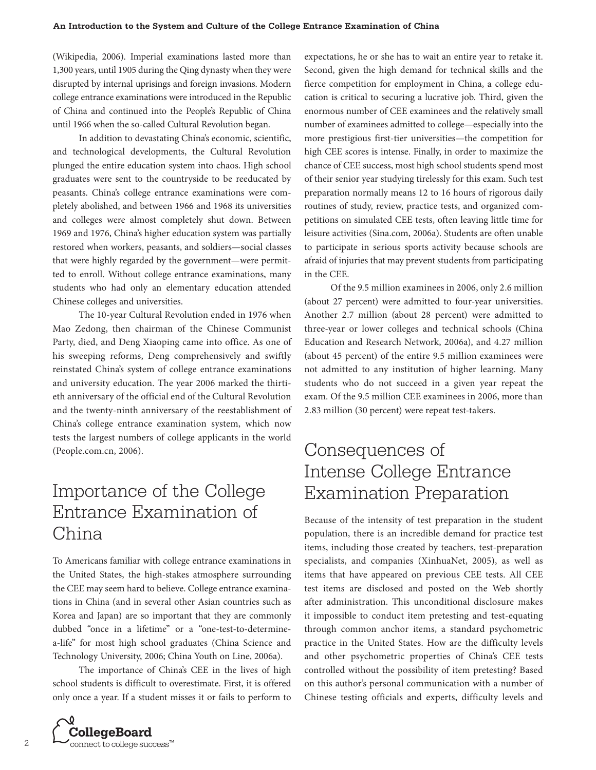(Wikipedia, 2006). Imperial examinations lasted more than 1,300 years, until 1905 during the Qing dynasty when they were disrupted by internal uprisings and foreign invasions. Modern college entrance examinations were introduced in the Republic of China and continued into the People's Republic of China until 1966 when the so-called Cultural Revolution began.

In addition to devastating China's economic, scientific, and technological developments, the Cultural Revolution plunged the entire education system into chaos. High school graduates were sent to the countryside to be reeducated by peasants. China's college entrance examinations were completely abolished, and between 1966 and 1968 its universities and colleges were almost completely shut down. Between 1969 and 1976, China's higher education system was partially restored when workers, peasants, and soldiers—social classes that were highly regarded by the government—were permitted to enroll. Without college entrance examinations, many students who had only an elementary education attended Chinese colleges and universities.

The 10-year Cultural Revolution ended in 1976 when Mao Zedong, then chairman of the Chinese Communist Party, died, and Deng Xiaoping came into office. As one of his sweeping reforms, Deng comprehensively and swiftly reinstated China's system of college entrance examinations and university education. The year 2006 marked the thirtieth anniversary of the official end of the Cultural Revolution and the twenty-ninth anniversary of the reestablishment of China's college entrance examination system, which now tests the largest numbers of college applicants in the world (People.com.cn, 2006).

#### Importance of the College Entrance Examination of China

To Americans familiar with college entrance examinations in the United States, the high-stakes atmosphere surrounding the CEE may seem hard to believe. College entrance examinations in China (and in several other Asian countries such as Korea and Japan) are so important that they are commonly dubbed "once in a lifetime" or a "one-test-to-determinea-life" for most high school graduates (China Science and Technology University, 2006; China Youth on Line, 2006a).

The importance of China's CEE in the lives of high school students is difficult to overestimate. First, it is offered only once a year. If a student misses it or fails to perform to



expectations, he or she has to wait an entire year to retake it. Second, given the high demand for technical skills and the fierce competition for employment in China, a college education is critical to securing a lucrative job. Third, given the enormous number of CEE examinees and the relatively small number of examinees admitted to college—especially into the more prestigious first-tier universities—the competition for high CEE scores is intense. Finally, in order to maximize the chance of CEE success, most high school students spend most of their senior year studying tirelessly for this exam. Such test preparation normally means 12 to 16 hours of rigorous daily routines of study, review, practice tests, and organized competitions on simulated CEE tests, often leaving little time for leisure activities (Sina.com, 2006a). Students are often unable to participate in serious sports activity because schools are afraid of injuries that may prevent students from participating in the CEE.

Of the 9.5 million examinees in 2006, only 2.6 million (about 27 percent) were admitted to four-year universities. Another 2.7 million (about 28 percent) were admitted to three-year or lower colleges and technical schools (China Education and Research Network, 2006a), and 4.27 million (about 45 percent) of the entire 9.5 million examinees were not admitted to any institution of higher learning. Many students who do not succeed in a given year repeat the exam. Of the 9.5 million CEE examinees in 2006, more than 2.83 million (30 percent) were repeat test-takers.

## Consequences of Intense College Entrance Examination Preparation

Because of the intensity of test preparation in the student population, there is an incredible demand for practice test items, including those created by teachers, test-preparation specialists, and companies (XinhuaNet, 2005), as well as items that have appeared on previous CEE tests. All CEE test items are disclosed and posted on the Web shortly after administration. This unconditional disclosure makes it impossible to conduct item pretesting and test-equating through common anchor items, a standard psychometric practice in the United States. How are the difficulty levels and other psychometric properties of China's CEE tests controlled without the possibility of item pretesting? Based on this author's personal communication with a number of Chinese testing officials and experts, difficulty levels and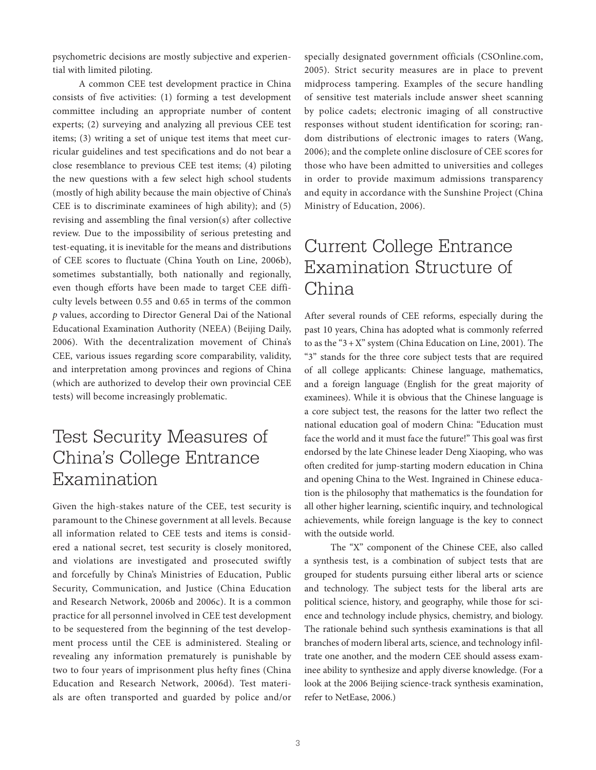psychometric decisions are mostly subjective and experiential with limited piloting.

A common CEE test development practice in China consists of five activities: (1) forming a test development committee including an appropriate number of content experts; (2) surveying and analyzing all previous CEE test items; (3) writing a set of unique test items that meet curricular guidelines and test specifications and do not bear a close resemblance to previous CEE test items; (4) piloting the new questions with a few select high school students (mostly of high ability because the main objective of China's CEE is to discriminate examinees of high ability); and (5) revising and assembling the final version(s) after collective review. Due to the impossibility of serious pretesting and test-equating, it is inevitable for the means and distributions of CEE scores to fluctuate (China Youth on Line, 2006b), sometimes substantially, both nationally and regionally, even though efforts have been made to target CEE difficulty levels between 0.55 and 0.65 in terms of the common *p* values, according to Director General Dai of the National Educational Examination Authority (NEEA) (Beijing Daily, 2006). With the decentralization movement of China's CEE, various issues regarding score comparability, validity, and interpretation among provinces and regions of China (which are authorized to develop their own provincial CEE tests) will become increasingly problematic.

#### Test Security Measures of China's College Entrance Examination

Given the high-stakes nature of the CEE, test security is paramount to the Chinese government at all levels. Because all information related to CEE tests and items is considered a national secret, test security is closely monitored, and violations are investigated and prosecuted swiftly and forcefully by China's Ministries of Education, Public Security, Communication, and Justice (China Education and Research Network, 2006b and 2006c). It is a common practice for all personnel involved in CEE test development to be sequestered from the beginning of the test development process until the CEE is administered. Stealing or revealing any information prematurely is punishable by two to four years of imprisonment plus hefty fines (China Education and Research Network, 2006d). Test materials are often transported and guarded by police and/or specially designated government officials (CSOnline.com, 2005). Strict security measures are in place to prevent midprocess tampering. Examples of the secure handling of sensitive test materials include answer sheet scanning by police cadets; electronic imaging of all constructive responses without student identification for scoring; random distributions of electronic images to raters (Wang, 2006); and the complete online disclosure of CEE scores for those who have been admitted to universities and colleges in order to provide maximum admissions transparency and equity in accordance with the Sunshine Project (China Ministry of Education, 2006).

#### Current College Entrance Examination Structure of China

After several rounds of CEE reforms, especially during the past 10 years, China has adopted what is commonly referred to as the " $3+X$ " system (China Education on Line, 2001). The "3" stands for the three core subject tests that are required of all college applicants: Chinese language, mathematics, and a foreign language (English for the great majority of examinees). While it is obvious that the Chinese language is a core subject test, the reasons for the latter two reflect the national education goal of modern China: "Education must face the world and it must face the future!" This goal was first endorsed by the late Chinese leader Deng Xiaoping, who was often credited for jump-starting modern education in China and opening China to the West. Ingrained in Chinese education is the philosophy that mathematics is the foundation for all other higher learning, scientific inquiry, and technological achievements, while foreign language is the key to connect with the outside world.

The "X" component of the Chinese CEE, also called a synthesis test, is a combination of subject tests that are grouped for students pursuing either liberal arts or science and technology. The subject tests for the liberal arts are political science, history, and geography, while those for science and technology include physics, chemistry, and biology. The rationale behind such synthesis examinations is that all branches of modern liberal arts, science, and technology infiltrate one another, and the modern CEE should assess examinee ability to synthesize and apply diverse knowledge. (For a look at the 2006 Beijing science-track synthesis examination, refer to NetEase, 2006.)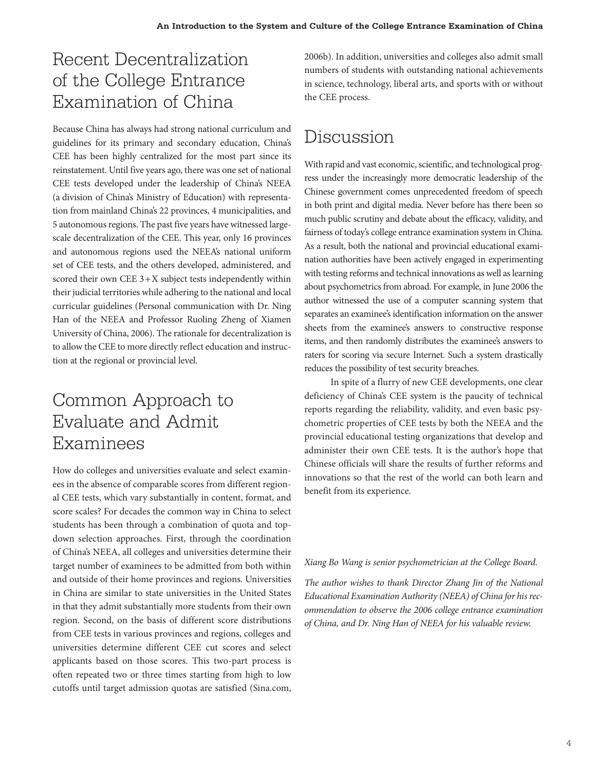# Recent Decentralization of the College Entrance Examination of China

Because China has always had strong national curriculum and guidelines for its primary and secondary education, China's CEE has been highly centralized for the most part since its reinstatement. Until five years ago, there was one set of national CEE tests developed under the leadership of China's NEEA (a division of China's Ministry of Education) with representation from mainland China's 22 provinces, 4 municipalities, and 5 autonomous regions. The past five years have witnessed largescale decentralization of the CEE. This year, only 16 provinces and autonomous regions used the NEEA's national uniform set of CEE tests, and the others developed, administered, and scored their own CEE  $3+X$  subject tests independently within their judicial territories while adhering to the national and local curricular guidelines (Personal communication with Dr. Ning Han of the NEEA and Professor Ruoling Zheng of Xiamen University of China, 2006). The rationale for decentralization is to allow the CEE to more directly reflect education and instruction at the regional or provincial level.

## Common Approach to Evaluate and Admit Examinees

How do colleges and universities evaluate and select examinees in the absence of comparable scores from different regional CEE tests, which vary substantially in content, format, and score scales? For decades the common way in China to select students has been through a combination of quota and topdown selection approaches. First, through the coordination of China's NEEA, all colleges and universities determine their target number of examinees to be admitted from both within and outside of their home provinces and regions. Universities in China are similar to state universities in the United States in that they admit substantially more students from their own region. Second, on the basis of different score distributions from CEE tests in various provinces and regions, colleges and universities determine different CEE cut scores and select applicants based on those scores. This two-part process is often repeated two or three times starting from high to low cutoffs until target admission quotas are satisfied (Sina.com, 2006b). In addition, universities and colleges also admit small numbers of students with outstanding national achievements in science, technology, liberal arts, and sports with or without the CEE process.

## Discussion

With rapid and vast economic, scientific, and technological progress under the increasingly more democratic leadership of the Chinese government comes unprecedented freedom of speech in both print and digital media. Never before has there been so much public scrutiny and debate about the efficacy, validity, and fairness of today's college entrance examination system in China. As a result, both the national and provincial educational examination authorities have been actively engaged in experimenting with testing reforms and technical innovations as well as learning about psychometrics from abroad. For example, in June 2006 the author witnessed the use of a computer scanning system that separates an examinee's identification information on the answer sheets from the examinee's answers to constructive response items, and then randomly distributes the examinee's answers to raters for scoring via secure Internet. Such a system drastically reduces the possibility of test security breaches.

In spite of a flurry of new CEE developments, one clear deficiency of China's CEE system is the paucity of technical reports regarding the reliability, validity, and even basic psychometric properties of CEE tests by both the NEEA and the provincial educational testing organizations that develop and administer their own CEE tests. It is the author's hope that Chinese officials will share the results of further reforms and innovations so that the rest of the world can both learn and benefit from its experience.

#### *Xiang Bo Wang is senior psychometrician at the College Board.*

*The author wishes to thank Director Zhang Jin of the National Educational Examination Authority (NEEA) of China for his recommendation to observe the 2006 college entrance examination of China, and Dr. Ning Han of NEEA for his valuable review.*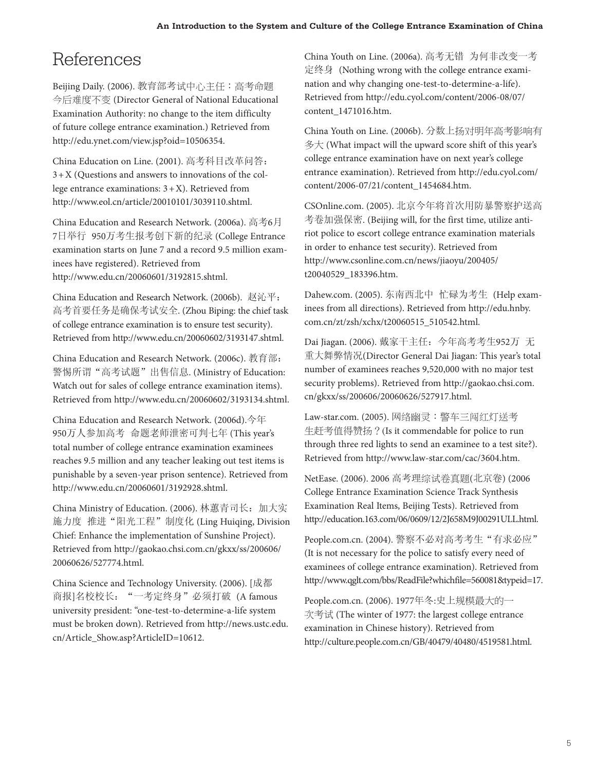# References

Beijing Daily. (2006). 教育部考试中心主任:高考命题 今后难度不变 (Director General of National Educational Examination Authority: no change to the item difficulty of future college entrance examination.) Retrieved from http://edu.ynet.com/view.jsp?oid=10506354.

China Education on Line. (2001). 高考科目改革问答: 3+X (Questions and answers to innovations of the college entrance examinations:  $3 + X$ ). Retrieved from http://www.eol.cn/article/20010101/3039110.shtml.

China Education and Research Network. (2006a). 高考6月 7日举行 950万考生报考创下新的纪录 (College Entrance examination starts on June 7 and a record 9.5 million examinees have registered). Retrieved from http://www.edu.cn/20060601/3192815.shtml.

China Education and Research Network. (2006b). 赵沁平: 高考首要任务是确保考试安全. (Zhou Biping: the chief task of college entrance examination is to ensure test security). Retrieved from http://www.edu.cn/20060602/3193147.shtml.

China Education and Research Network. (2006c). 教育部: 警惕所谓"高考试题"出售信息. (Ministry of Education: Watch out for sales of college entrance examination items). Retrieved from http://www.edu.cn/20060602/3193134.shtml.

China Education and Research Network. (2006d).今年 950万人参加高考 命题老师泄密可判七年 (This year's total number of college entrance examination examinees reaches 9.5 million and any teacher leaking out test items is punishable by a seven-year prison sentence). Retrieved from http://www.edu.cn/20060601/3192928.shtml.

China Ministry of Education. (2006). 林蕙青司长:加大实 施力度 推进"阳光工程"制度化 (Ling Huiqing, Division Chief: Enhance the implementation of Sunshine Project). Retrieved from http://gaokao.chsi.com.cn/gkxx/ss/200606/ 20060626/527774.html.

China Science and Technology University. (2006). [成都 商报]名校校长: "一考定终身"必须打破 (A famous university president: "one-test-to-determine-a-life system must be broken down). Retrieved from http://news.ustc.edu. cn/Article Show.asp?ArticleID=10612.

China Youth on Line. (2006a). 高考无错 为何非改变一考 定终身 (Nothing wrong with the college entrance examination and why changing one-test-to-determine-a-life). Retrieved from http://edu.cyol.com/content/2006-08/07/ content\_1471016.htm.

China Youth on Line. (2006b). 分数上扬对明年高考影响有 多大 (What impact will the upward score shift of this year's college entrance examination have on next year's college entrance examination). Retrieved from http://edu.cyol.com/ content/2006-07/21/content\_1454684.htm.

CSOnline.com. (2005). 北京今年将首次用防暴警察护送高 考卷加强保密. (Beijing will, for the first time, utilize antiriot police to escort college entrance examination materials in order to enhance test security). Retrieved from http://www.csonline.com.cn/news/jiaoyu/200405/ t20040529\_183396.htm.

Dahew.com. (2005). 东南西北中 忙碌为考生 (Help examinees from all directions). Retrieved from http://edu.hnby. com.cn/zt/zsh/xchx/t20060515\_510542.html.

Dai Jiagan. (2006). 戴家干主任:今年高考考生952万 无 重大舞弊情况(Director General Dai Jiagan: This year's total number of examinees reaches 9,520,000 with no major test security problems). Retrieved from http://gaokao.chsi.com. cn/gkxx/ss/200606/20060626/527917.html.

Law-star.com. (2005). 网络幽灵:警车三闯红灯送考 生赶考值得赞扬?(Is it commendable for police to run through three red lights to send an examinee to a test site?). Retrieved from http://www.law-star.com/cac/3604.htm.

NetEase. (2006). 2006 高考理综试卷真题(北京卷) (2006 College Entrance Examination Science Track Synthesis Examination Real Items, Beijing Tests). Retrieved from http://education.163.com/06/0609/12/2J658M9J00291ULL.html.

People.com.cn. (2004). 警察不必对高考考生"有求必应" (It is not necessary for the police to satisfy every need of examinees of college entrance examination). Retrieved from http://www.qglt.com/bbs/ReadFile?whichfile=560081&typeid=17.

People.com.cn. (2006). 1977年冬:史上规模最大的一 次考试 (The winter of 1977: the largest college entrance examination in Chinese history). Retrieved from http://culture.people.com.cn/GB/40479/40480/4519581.html.